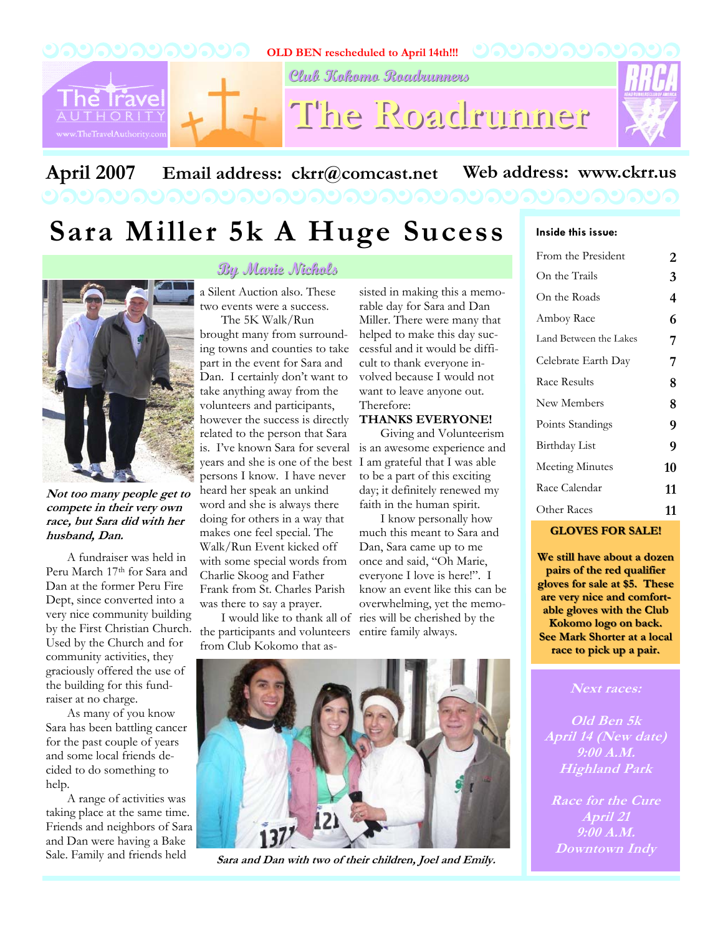

# April 2007 Email address: ckrr@comcast.net Web address: www.ckrr.us

# **Sara Miller 5k A Huge Sucess**



**Not too many people get to compete in their very own race, but Sara did with her husband, Dan.** 

A fundraiser was held in Peru March 17th for Sara and Dan at the former Peru Fire Dept, since converted into a very nice community building by the First Christian Church. Used by the Church and for community activities, they graciously offered the use of the building for this fundraiser at no charge.

As many of you know Sara has been battling cancer for the past couple of years and some local friends decided to do something to help.

A range of activities was taking place at the same time. Friends and neighbors of Sara and Dan were having a Bake Sale. Family and friends held

## **By Marie Nichols By Marie Nichols**

a Silent Auction also. These two events were a success. The 5K Walk/Run

is. I've known Sara for several is an awesome experience and years and she is one of the best I am grateful that I was able brought many from surrounding towns and counties to take part in the event for Sara and Dan. I certainly don't want to take anything away from the volunteers and participants, however the success is directly related to the person that Sara persons I know. I have never heard her speak an unkind word and she is always there doing for others in a way that makes one feel special. The Walk/Run Event kicked off with some special words from Charlie Skoog and Father Frank from St. Charles Parish was there to say a prayer.

the participants and volunteers entire family always. from Club Kokomo that as-

sisted in making this a memorable day for Sara and Dan Miller. There were many that helped to make this day successful and it would be difficult to thank everyone involved because I would not want to leave anyone out. Therefore:

### **THANKS EVERYONE!**

Giving and Volunteerism to be a part of this exciting day; it definitely renewed my faith in the human spirit.

I know personally how much this meant to Sara and Dan, Sara came up to me once and said, "Oh Marie, everyone I love is here!". I know an event like this can be overwhelming, yet the memo-I would like to thank all of ries will be cherished by the



| From the President     | 2  |
|------------------------|----|
| On the Trails          | 3  |
| On the Roads           | 4  |
| Amboy Race             | 6  |
| Land Between the Lakes | 7  |
| Celebrate Earth Day    | 7  |
| Race Results           | 8  |
| New Members            | 8  |
| Points Standings       | 9  |
| Birthday List          | 9  |
| <b>Meeting Minutes</b> | 10 |
| Race Calendar          | 11 |
| Other Races            | 11 |

#### **GLOVES FOR SALE! LOVES FOR SALE!**

We still have about a dozen **pairs of the red qualifier pairs of the red qualifier gloves for sale at \$5. These gloves for sale at \$5. These**  are very nice and comfort**able gloves with the Club able gloves with the Club Kokomo logo on back. Kokomo logo on back. See Mark Shorter at a local race to pick up a pair. race to pick up pair.**

#### **Next races:**

**Old Ben 5k April 14 (New date) 9:00 A.M. Highland Park** 

**Race for the Cure April 21 9:00 A.M. Downtown Indy** 



**Sara and Dan with two of their children, Joel and Emily.**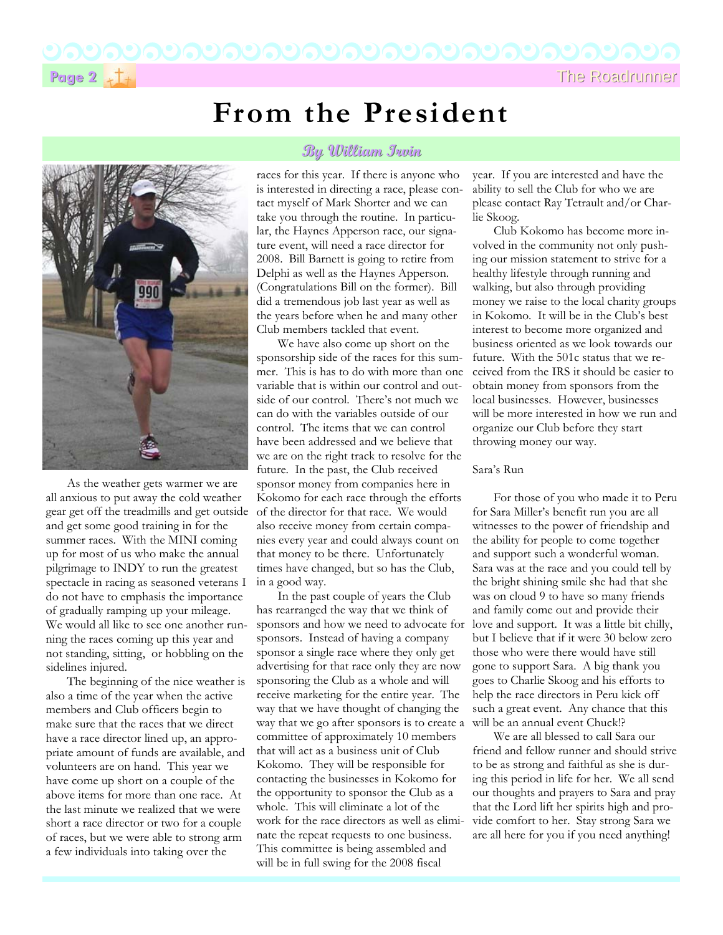**Page 2**  $\star$  T<sub>t</sub>

# **From the President**



As the weather gets warmer we are all anxious to put away the cold weather gear get off the treadmills and get outside and get some good training in for the summer races. With the MINI coming up for most of us who make the annual pilgrimage to INDY to run the greatest spectacle in racing as seasoned veterans I do not have to emphasis the importance of gradually ramping up your mileage. We would all like to see one another running the races coming up this year and not standing, sitting, or hobbling on the sidelines injured.

The beginning of the nice weather is also a time of the year when the active members and Club officers begin to make sure that the races that we direct have a race director lined up, an appropriate amount of funds are available, and volunteers are on hand. This year we have come up short on a couple of the above items for more than one race. At the last minute we realized that we were short a race director or two for a couple of races, but we were able to strong arm a few individuals into taking over the

## **By William Irvin By William Irvin**

races for this year. If there is anyone who is interested in directing a race, please contact myself of Mark Shorter and we can take you through the routine. In particular, the Haynes Apperson race, our signature event, will need a race director for 2008. Bill Barnett is going to retire from Delphi as well as the Haynes Apperson. (Congratulations Bill on the former). Bill did a tremendous job last year as well as the years before when he and many other Club members tackled that event.

We have also come up short on the sponsorship side of the races for this summer. This is has to do with more than one variable that is within our control and outside of our control. There's not much we can do with the variables outside of our control. The items that we can control have been addressed and we believe that we are on the right track to resolve for the future. In the past, the Club received sponsor money from companies here in Kokomo for each race through the efforts of the director for that race. We would also receive money from certain companies every year and could always count on that money to be there. Unfortunately times have changed, but so has the Club, in a good way.

In the past couple of years the Club has rearranged the way that we think of sponsors and how we need to advocate for sponsors. Instead of having a company sponsor a single race where they only get advertising for that race only they are now sponsoring the Club as a whole and will receive marketing for the entire year. The way that we have thought of changing the way that we go after sponsors is to create a committee of approximately 10 members that will act as a business unit of Club Kokomo. They will be responsible for contacting the businesses in Kokomo for the opportunity to sponsor the Club as a whole. This will eliminate a lot of the work for the race directors as well as eliminate the repeat requests to one business. This committee is being assembled and will be in full swing for the 2008 fiscal

year. If you are interested and have the ability to sell the Club for who we are please contact Ray Tetrault and/or Charlie Skoog.

Club Kokomo has become more involved in the community not only pushing our mission statement to strive for a healthy lifestyle through running and walking, but also through providing money we raise to the local charity groups in Kokomo. It will be in the Club's best interest to become more organized and business oriented as we look towards our future. With the 501c status that we received from the IRS it should be easier to obtain money from sponsors from the local businesses. However, businesses will be more interested in how we run and organize our Club before they start throwing money our way.

#### Sara's Run

For those of you who made it to Peru for Sara Miller's benefit run you are all witnesses to the power of friendship and the ability for people to come together and support such a wonderful woman. Sara was at the race and you could tell by the bright shining smile she had that she was on cloud 9 to have so many friends and family come out and provide their love and support. It was a little bit chilly, but I believe that if it were 30 below zero those who were there would have still gone to support Sara. A big thank you goes to Charlie Skoog and his efforts to help the race directors in Peru kick off such a great event. Any chance that this will be an annual event Chuck!?

We are all blessed to call Sara our friend and fellow runner and should strive to be as strong and faithful as she is during this period in life for her. We all send our thoughts and prayers to Sara and pray that the Lord lift her spirits high and provide comfort to her. Stay strong Sara we are all here for you if you need anything!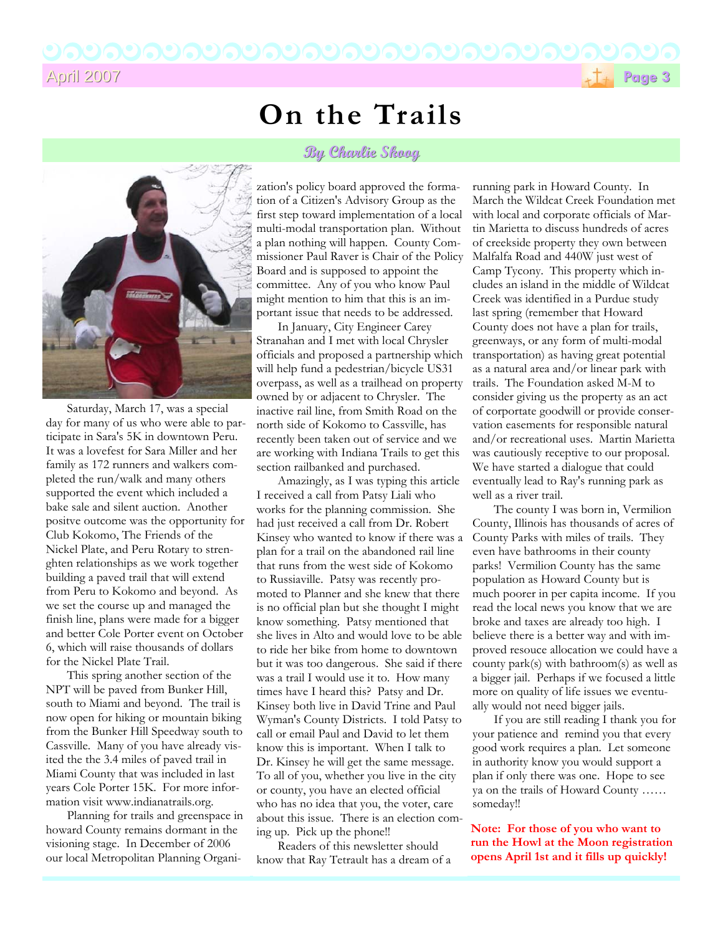

# **On the Trails**

## **By Charlie Skoog By Charlie Skoog**



Saturday, March 17, was a special day for many of us who were able to participate in Sara's 5K in downtown Peru. It was a lovefest for Sara Miller and her family as 172 runners and walkers completed the run/walk and many others supported the event which included a bake sale and silent auction. Another positve outcome was the opportunity for Club Kokomo, The Friends of the Nickel Plate, and Peru Rotary to strenghten relationships as we work together building a paved trail that will extend from Peru to Kokomo and beyond. As we set the course up and managed the finish line, plans were made for a bigger and better Cole Porter event on October 6, which will raise thousands of dollars for the Nickel Plate Trail.

This spring another section of the NPT will be paved from Bunker Hill, south to Miami and beyond. The trail is now open for hiking or mountain biking from the Bunker Hill Speedway south to Cassville. Many of you have already visited the the 3.4 miles of paved trail in Miami County that was included in last years Cole Porter 15K. For more information visit www.indianatrails.org.

Planning for trails and greenspace in howard County remains dormant in the visioning stage. In December of 2006 our local Metropolitan Planning Organi-

zation's policy board approved the formation of a Citizen's Advisory Group as the first step toward implementation of a local multi-modal transportation plan. Without a plan nothing will happen. County Commissioner Paul Raver is Chair of the Policy Board and is supposed to appoint the committee. Any of you who know Paul might mention to him that this is an important issue that needs to be addressed.

In January, City Engineer Carey Stranahan and I met with local Chrysler officials and proposed a partnership which will help fund a pedestrian/bicycle US31 overpass, as well as a trailhead on property owned by or adjacent to Chrysler. The inactive rail line, from Smith Road on the north side of Kokomo to Cassville, has recently been taken out of service and we are working with Indiana Trails to get this section railbanked and purchased.

Amazingly, as I was typing this article I received a call from Patsy Liali who works for the planning commission. She had just received a call from Dr. Robert Kinsey who wanted to know if there was a plan for a trail on the abandoned rail line that runs from the west side of Kokomo to Russiaville. Patsy was recently promoted to Planner and she knew that there is no official plan but she thought I might know something. Patsy mentioned that she lives in Alto and would love to be able to ride her bike from home to downtown but it was too dangerous. She said if there was a trail I would use it to. How many times have I heard this? Patsy and Dr. Kinsey both live in David Trine and Paul Wyman's County Districts. I told Patsy to call or email Paul and David to let them know this is important. When I talk to Dr. Kinsey he will get the same message. To all of you, whether you live in the city or county, you have an elected official who has no idea that you, the voter, care about this issue. There is an election coming up. Pick up the phone!!

Readers of this newsletter should know that Ray Tetrault has a dream of a running park in Howard County. In March the Wildcat Creek Foundation met with local and corporate officials of Martin Marietta to discuss hundreds of acres of creekside property they own between Malfalfa Road and 440W just west of Camp Tycony. This property which includes an island in the middle of Wildcat Creek was identified in a Purdue study last spring (remember that Howard County does not have a plan for trails, greenways, or any form of multi-modal transportation) as having great potential as a natural area and/or linear park with trails. The Foundation asked M-M to consider giving us the property as an act of corportate goodwill or provide conservation easements for responsible natural and/or recreational uses. Martin Marietta was cautiously receptive to our proposal. We have started a dialogue that could eventually lead to Ray's running park as well as a river trail.

The county I was born in, Vermilion County, Illinois has thousands of acres of County Parks with miles of trails. They even have bathrooms in their county parks! Vermilion County has the same population as Howard County but is much poorer in per capita income. If you read the local news you know that we are broke and taxes are already too high. I believe there is a better way and with improved resouce allocation we could have a county park(s) with bathroom(s) as well as a bigger jail. Perhaps if we focused a little more on quality of life issues we eventually would not need bigger jails.

If you are still reading I thank you for your patience and remind you that every good work requires a plan. Let someone in authority know you would support a plan if only there was one. Hope to see ya on the trails of Howard County …… someday!!

**Note: For those of you who want to run the Howl at the Moon registration opens April 1st and it fills up quickly!**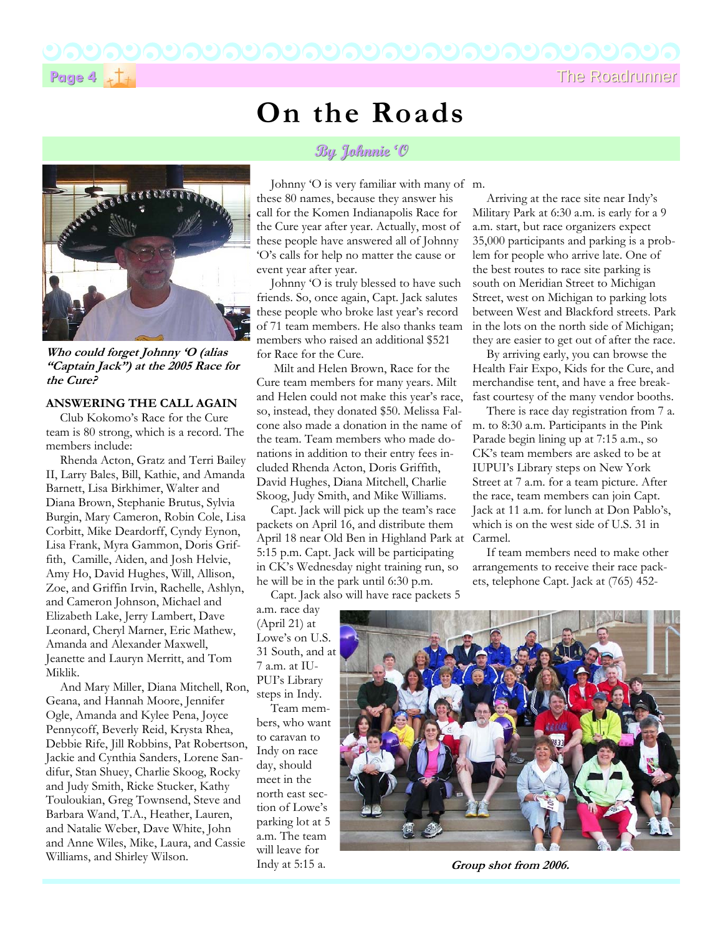**Page 4**  $\star$  The Roadrunner

**Who could forget Johnny 'O (alias "Captain Jack") at the 2005 Race for the Cure?** 

#### **ANSWERING THE CALL AGAIN**

Club Kokomo's Race for the Cure team is 80 strong, which is a record. The members include:

Rhenda Acton, Gratz and Terri Bailey II, Larry Bales, Bill, Kathie, and Amanda Barnett, Lisa Birkhimer, Walter and Diana Brown, Stephanie Brutus, Sylvia Burgin, Mary Cameron, Robin Cole, Lisa Corbitt, Mike Deardorff, Cyndy Eynon, Lisa Frank, Myra Gammon, Doris Griffith, Camille, Aiden, and Josh Helvie, Amy Ho, David Hughes, Will, Allison, Zoe, and Griffin Irvin, Rachelle, Ashlyn, and Cameron Johnson, Michael and Elizabeth Lake, Jerry Lambert, Dave Leonard, Cheryl Marner, Eric Mathew, Amanda and Alexander Maxwell, Jeanette and Lauryn Merritt, and Tom Miklik.

And Mary Miller, Diana Mitchell, Ron, Geana, and Hannah Moore, Jennifer Ogle, Amanda and Kylee Pena, Joyce Pennycoff, Beverly Reid, Krysta Rhea, Debbie Rife, Jill Robbins, Pat Robertson, Jackie and Cynthia Sanders, Lorene Sandifur, Stan Shuey, Charlie Skoog, Rocky and Judy Smith, Ricke Stucker, Kathy Touloukian, Greg Townsend, Steve and Barbara Wand, T.A., Heather, Lauren, and Natalie Weber, Dave White, John and Anne Wiles, Mike, Laura, and Cassie Williams, and Shirley Wilson.

## **On the Roads**

## **By Johnnie 'O By Johnnie 'O**

Johnny 'O is very familiar with many of m. these 80 names, because they answer his call for the Komen Indianapolis Race for the Cure year after year. Actually, most of these people have answered all of Johnny 'O's calls for help no matter the cause or event year after year.

Johnny 'O is truly blessed to have such friends. So, once again, Capt. Jack salutes these people who broke last year's record of 71 team members. He also thanks team members who raised an additional \$521 for Race for the Cure.

 Milt and Helen Brown, Race for the Cure team members for many years. Milt and Helen could not make this year's race, so, instead, they donated \$50. Melissa Falcone also made a donation in the name of the team. Team members who made donations in addition to their entry fees included Rhenda Acton, Doris Griffith, David Hughes, Diana Mitchell, Charlie Skoog, Judy Smith, and Mike Williams.

Capt. Jack will pick up the team's race packets on April 16, and distribute them April 18 near Old Ben in Highland Park at 5:15 p.m. Capt. Jack will be participating in CK's Wednesday night training run, so he will be in the park until 6:30 p.m.

Capt. Jack also will have race packets 5

a.m. race day (April 21) at Lowe's on U.S. 31 South, and at 7 a.m. at IU-PUI's Library steps in Indy.

Team members, who want to caravan to Indy on race day, should meet in the north east section of Lowe's parking lot at 5 a.m. The team will leave for Indy at 5:15 a.

Arriving at the race site near Indy's Military Park at 6:30 a.m. is early for a 9 a.m. start, but race organizers expect 35,000 participants and parking is a problem for people who arrive late. One of the best routes to race site parking is south on Meridian Street to Michigan Street, west on Michigan to parking lots between West and Blackford streets. Park in the lots on the north side of Michigan; they are easier to get out of after the race.

By arriving early, you can browse the Health Fair Expo, Kids for the Cure, and merchandise tent, and have a free breakfast courtesy of the many vendor booths.

There is race day registration from 7 a. m. to 8:30 a.m. Participants in the Pink Parade begin lining up at 7:15 a.m., so CK's team members are asked to be at IUPUI's Library steps on New York Street at 7 a.m. for a team picture. After the race, team members can join Capt. Jack at 11 a.m. for lunch at Don Pablo's, which is on the west side of U.S. 31 in Carmel.

If team members need to make other arrangements to receive their race packets, telephone Capt. Jack at (765) 452-



**Group shot from 2006.**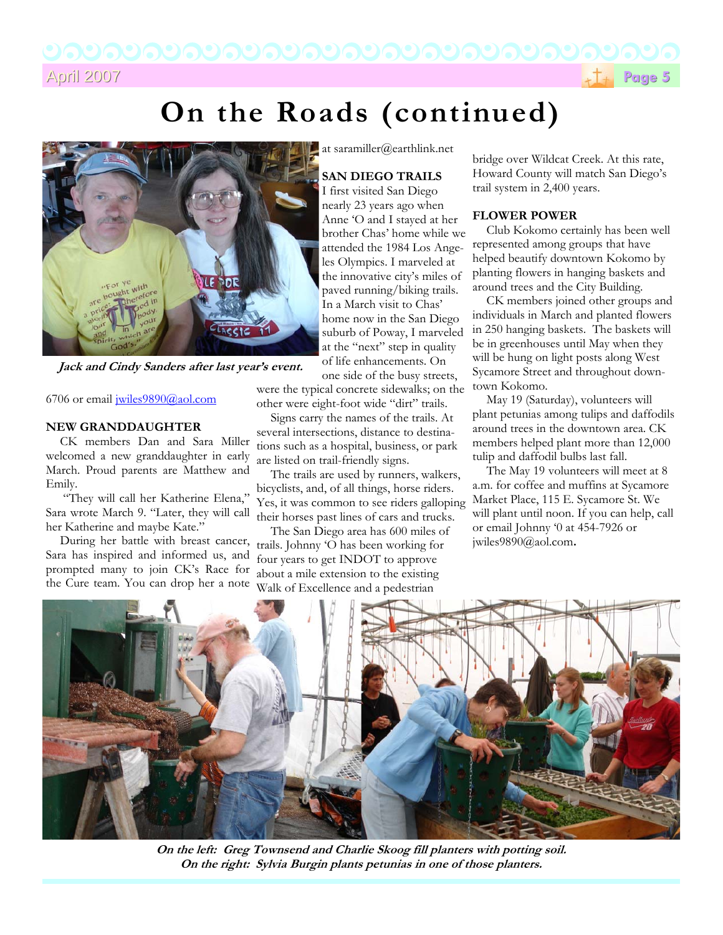April 2007 April 2007**Page 5**



# **On the Roads (continued)**



**Jack and Cindy Sanders after last year's event.** 

#### 6706 or email jwiles9890@aol.com

#### **NEW GRANDDAUGHTER**

CK members Dan and Sara Miller welcomed a new granddaughter in early March. Proud parents are Matthew and Emily.

 "They will call her Katherine Elena," Sara wrote March 9. "Later, they will call her Katherine and maybe Kate."

During her battle with breast cancer, Sara has inspired and informed us, and prompted many to join CK's Race for the Cure team. You can drop her a note at saramiller@earthlink.net

### **SAN DIEGO TRAILS**

I first visited San Diego nearly 23 years ago when Anne 'O and I stayed at her brother Chas' home while we attended the 1984 Los Angeles Olympics. I marveled at the innovative city's miles of paved running/biking trails. In a March visit to Chas' home now in the San Diego suburb of Poway, I marveled at the "next" step in quality of life enhancements. On one side of the busy streets,

were the typical concrete sidewalks; on the other were eight-foot wide "dirt" trails.

Signs carry the names of the trails. At several intersections, distance to destinations such as a hospital, business, or park are listed on trail-friendly signs.

The trails are used by runners, walkers, bicyclists, and, of all things, horse riders. Yes, it was common to see riders galloping their horses past lines of cars and trucks.

The San Diego area has 600 miles of trails. Johnny 'O has been working for four years to get INDOT to approve about a mile extension to the existing Walk of Excellence and a pedestrian

bridge over Wildcat Creek. At this rate, Howard County will match San Diego's trail system in 2,400 years.

### **FLOWER POWER**

Club Kokomo certainly has been well represented among groups that have helped beautify downtown Kokomo by planting flowers in hanging baskets and around trees and the City Building.

CK members joined other groups and individuals in March and planted flowers in 250 hanging baskets. The baskets will be in greenhouses until May when they will be hung on light posts along West Sycamore Street and throughout downtown Kokomo.

May 19 (Saturday), volunteers will plant petunias among tulips and daffodils around trees in the downtown area. CK members helped plant more than 12,000 tulip and daffodil bulbs last fall.

The May 19 volunteers will meet at 8 a.m. for coffee and muffins at Sycamore Market Place, 115 E. Sycamore St. We will plant until noon. If you can help, call or email Johnny '0 at 454-7926 or jwiles9890@aol.com**.**



**On the left: Greg Townsend and Charlie Skoog fill planters with potting soil. On the right: Sylvia Burgin plants petunias in one of those planters.**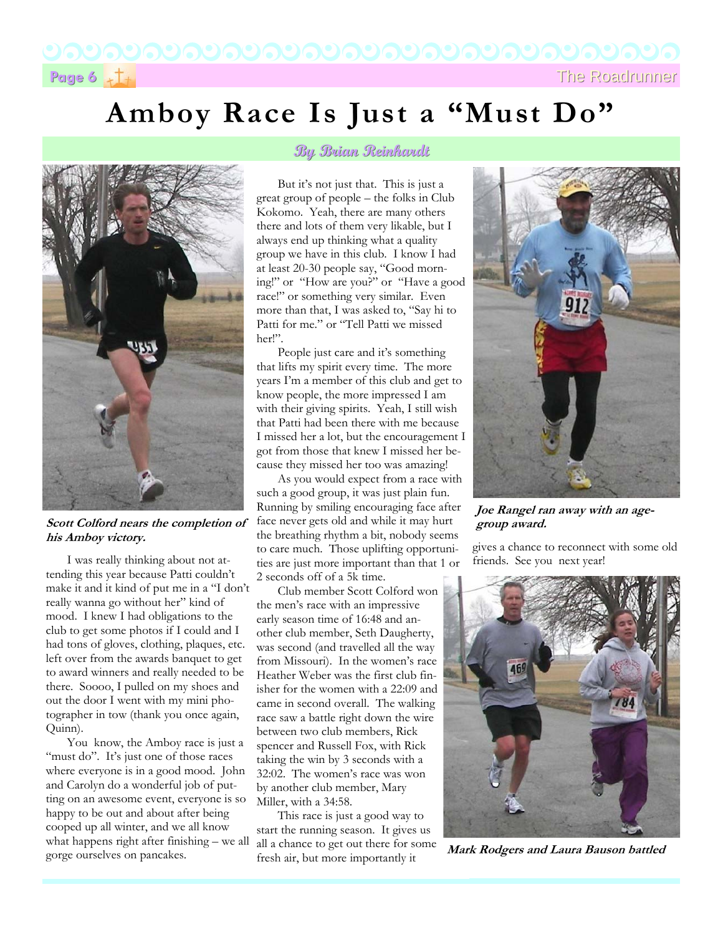# **Page 6**  $\frac{1}{2}$  The Roadrunner

# **Amboy Race Is Just a "Must Do"**



**Scott Colford nears the completion of his Amboy victory.** 

I was really thinking about not attending this year because Patti couldn't make it and it kind of put me in a "I don't really wanna go without her" kind of mood. I knew I had obligations to the club to get some photos if I could and I had tons of gloves, clothing, plaques, etc. left over from the awards banquet to get to award winners and really needed to be there. Soooo, I pulled on my shoes and out the door I went with my mini photographer in tow (thank you once again, Quinn).

You know, the Amboy race is just a "must do". It's just one of those races where everyone is in a good mood. John and Carolyn do a wonderful job of putting on an awesome event, everyone is so happy to be out and about after being cooped up all winter, and we all know what happens right after finishing – we all gorge ourselves on pancakes.

## **By Brian Reinhardt By Brian Reinhardt**

But it's not just that. This is just a great group of people – the folks in Club Kokomo. Yeah, there are many others there and lots of them very likable, but I always end up thinking what a quality group we have in this club. I know I had at least 20-30 people say, "Good morning!" or "How are you?" or "Have a good race!" or something very similar. Even more than that, I was asked to, "Say hi to Patti for me." or "Tell Patti we missed her!".

People just care and it's something that lifts my spirit every time. The more years I'm a member of this club and get to know people, the more impressed I am with their giving spirits. Yeah, I still wish that Patti had been there with me because I missed her a lot, but the encouragement I got from those that knew I missed her because they missed her too was amazing!

As you would expect from a race with such a good group, it was just plain fun. Running by smiling encouraging face after face never gets old and while it may hurt the breathing rhythm a bit, nobody seems to care much. Those uplifting opportunities are just more important than that 1 or 2 seconds off of a 5k time.

Club member Scott Colford won the men's race with an impressive early season time of 16:48 and another club member, Seth Daugherty, was second (and travelled all the way from Missouri). In the women's race Heather Weber was the first club finisher for the women with a 22:09 and came in second overall. The walking race saw a battle right down the wire between two club members, Rick spencer and Russell Fox, with Rick taking the win by 3 seconds with a 32:02. The women's race was won by another club member, Mary Miller, with a 34:58.

This race is just a good way to start the running season. It gives us all a chance to get out there for some fresh air, but more importantly it



**Joe Rangel ran away with an agegroup award.** 

gives a chance to reconnect with some old friends. See you next year!



**Mark Rodgers and Laura Bauson battled**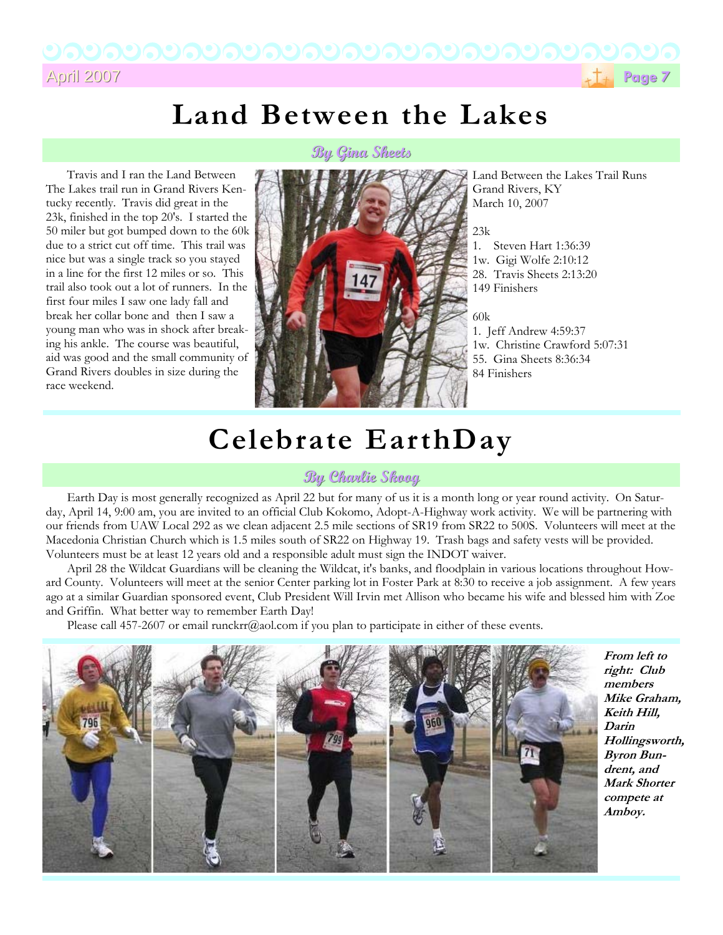April 2007 April 2007**Page 7**



# **Land Between the Lakes**

**By Gina Sheets By Gina Sheets**

Travis and I ran the Land Between The Lakes trail run in Grand Rivers Kentucky recently. Travis did great in the 23k, finished in the top 20's. I started the 50 miler but got bumped down to the 60k due to a strict cut off time. This trail was nice but was a single track so you stayed in a line for the first 12 miles or so. This trail also took out a lot of runners. In the first four miles I saw one lady fall and break her collar bone and then I saw a young man who was in shock after breaking his ankle. The course was beautiful, aid was good and the small community of Grand Rivers doubles in size during the race weekend.



Land Between the Lakes Trail Runs Grand Rivers, KY March 10, 2007

 $2.3k$ 1. Steven Hart 1:36:39 1w. Gigi Wolfe 2:10:12 28. Travis Sheets 2:13:20 149 Finishers

60k

1. Jeff Andrew 4:59:37 1w. Christine Crawford 5:07:31 55. Gina Sheets 8:36:34 84 Finishers

# **Celebrate EarthDay**

## **By Charlie Skoog By Charlie Skoog**

Earth Day is most generally recognized as April 22 but for many of us it is a month long or year round activity. On Saturday, April 14, 9:00 am, you are invited to an official Club Kokomo, Adopt-A-Highway work activity. We will be partnering with our friends from UAW Local 292 as we clean adjacent 2.5 mile sections of SR19 from SR22 to 500S. Volunteers will meet at the Macedonia Christian Church which is 1.5 miles south of SR22 on Highway 19. Trash bags and safety vests will be provided. Volunteers must be at least 12 years old and a responsible adult must sign the INDOT waiver.

April 28 the Wildcat Guardians will be cleaning the Wildcat, it's banks, and floodplain in various locations throughout Howard County. Volunteers will meet at the senior Center parking lot in Foster Park at 8:30 to receive a job assignment. A few years ago at a similar Guardian sponsored event, Club President Will Irvin met Allison who became his wife and blessed him with Zoe and Griffin. What better way to remember Earth Day!

Please call 457-2607 or email runckrr@aol.com if you plan to participate in either of these events.



**From left to right: Club members Mike Graham, Keith Hill, Darin Hollingsworth, Byron Bundrent, and Mark Shorter compete at Amboy.**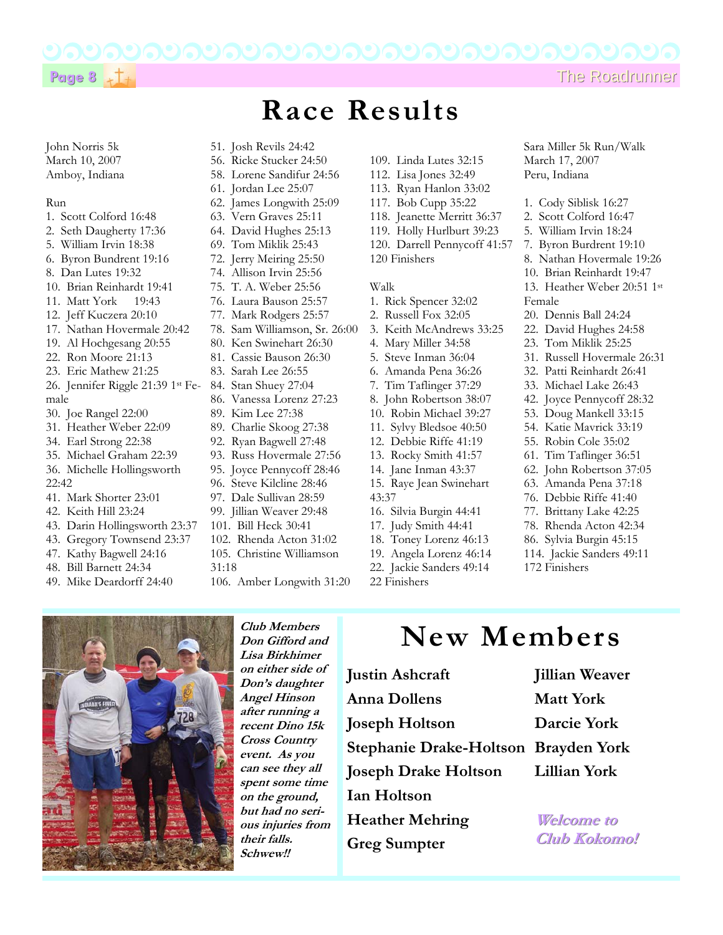**Race Results** 



### John Norris 5k March 10, 2007 Amboy, Indiana

#### Run

- 1. Scott Colford 16:48
- 2. Seth Daugherty 17:36
- 5. William Irvin 18:38
- 6. Byron Bundrent 19:16
- 8. Dan Lutes 19:32
- 10. Brian Reinhardt 19:41
- 11. Matt York 19:43
- 12. Jeff Kuczera 20:10
- 17. Nathan Hovermale 20:42
- 19. Al Hochgesang 20:55
- 22. Ron Moore 21:13
- 23. Eric Mathew 21:25
- 26. Jennifer Riggle 21:39 1st Female
- 30. Joe Rangel 22:00
- 31. Heather Weber 22:09
- 34. Earl Strong 22:38
- 35. Michael Graham 22:39
- 36. Michelle Hollingsworth
- 22:42
- 41. Mark Shorter 23:01
- 42. Keith Hill 23:24
- 43. Darin Hollingsworth 23:37
- 43. Gregory Townsend 23:37
- 47. Kathy Bagwell 24:16
- 48. Bill Barnett 24:34
- 49. Mike Deardorff 24:40
- 112. Lisa Jones 32:49 113. Ryan Hanlon 33:02 117. Bob Cupp 35:22 118. Jeanette Merritt 36:37 119. Holly Hurlburt 39:23 120. Darrell Pennycoff 41:57 120 Finishers Walk 61. Jordan Lee 25:07 62. James Longwith 25:09 63. Vern Graves 25:11 64. David Hughes 25:13 69. Tom Miklik 25:43 72. Jerry Meiring 25:50 74. Allison Irvin 25:56 75. T. A. Weber 25:56 76. Laura Bauson 25:57 77. Mark Rodgers 25:57 78. Sam Williamson, Sr. 26:00 80. Ken Swinehart 26:30 81. Cassie Bauson 26:30 83. Sarah Lee 26:55 84. Stan Shuey 27:04 86. Vanessa Lorenz 27:23 89. Kim Lee 27:38 89. Charlie Skoog 27:38 92. Ryan Bagwell 27:48 93. Russ Hovermale 27:56 95. Joyce Pennycoff 28:46 96. Steve Kilcline 28:46 97. Dale Sullivan 28:59 99. Jillian Weaver 29:48 101. Bill Heck 30:41 102. Rhenda Acton 31:02 105. Christine Williamson 31:18

51. Josh Revils 24:42 56. Ricke Stucker 24:50 58. Lorene Sandifur 24:56

106. Amber Longwith 31:20

1. Rick Spencer 32:02 2. Russell Fox 32:05 3. Keith McAndrews 33:25 4. Mary Miller 34:58 5. Steve Inman 36:04 6. Amanda Pena 36:26 7. Tim Taflinger 37:29 8. John Robertson 38:07 10. Robin Michael 39:27 11. Sylvy Bledsoe 40:50 12. Debbie Riffe 41:19 13. Rocky Smith 41:57 14. Jane Inman 43:37 15. Raye Jean Swinehart 43:37 16. Silvia Burgin 44:41 17. Judy Smith 44:41 18. Toney Lorenz 46:13 19. Angela Lorenz 46:14

109. Linda Lutes 32:15

- 
- 22. Jackie Sanders 49:14
- 22 Finishers
- Sara Miller 5k Run/Walk March 17, 2007 Peru, Indiana
- 1. Cody Siblisk 16:27
- 2. Scott Colford 16:47
- 5. William Irvin 18:24
- 7. Byron Burdrent 19:10
- 8. Nathan Hovermale 19:26
- 10. Brian Reinhardt 19:47
- 13. Heather Weber 20:51 1st Female
- 20. Dennis Ball 24:24
	- 22. David Hughes 24:58
	- 23. Tom Miklik 25:25
	- 31. Russell Hovermale 26:31
	- 32. Patti Reinhardt 26:41
	- 33. Michael Lake 26:43
	- 42. Joyce Pennycoff 28:32
	- 53. Doug Mankell 33:15
	- 54. Katie Mavrick 33:19
	- 55. Robin Cole 35:02
	- 61. Tim Taflinger 36:51
	- 62. John Robertson 37:05
	- 63. Amanda Pena 37:18
	- 76. Debbie Riffe 41:40
	- 77. Brittany Lake 42:25
	- 78. Rhenda Acton 42:34
	- 86. Sylvia Burgin 45:15
	- 114. Jackie Sanders 49:11
	- 172 Finishers

- **New Members**
- **Stephanie Drake-Holtson Brayden York Joseph Drake Holtson Heather Mehring Greg Sumpter**
- **Jillian Weaver Matt York Darcie York Lillian York**

**Welcome to Welcome to Club Kokomo! Club Kokomo!**



**Lisa Birkhimer on either side of Don's daughter Angel Hinson after running a recent Dino 15k** 

> **Cross Country event. As you can see they all spent some time on the ground, but had no serious injuries from their falls. Schwew!!**

**Joseph Holtson** 

**Club Members Don Gifford and** 

**Justin Ashcraft Anna Dollens** 

**Ian Holtson**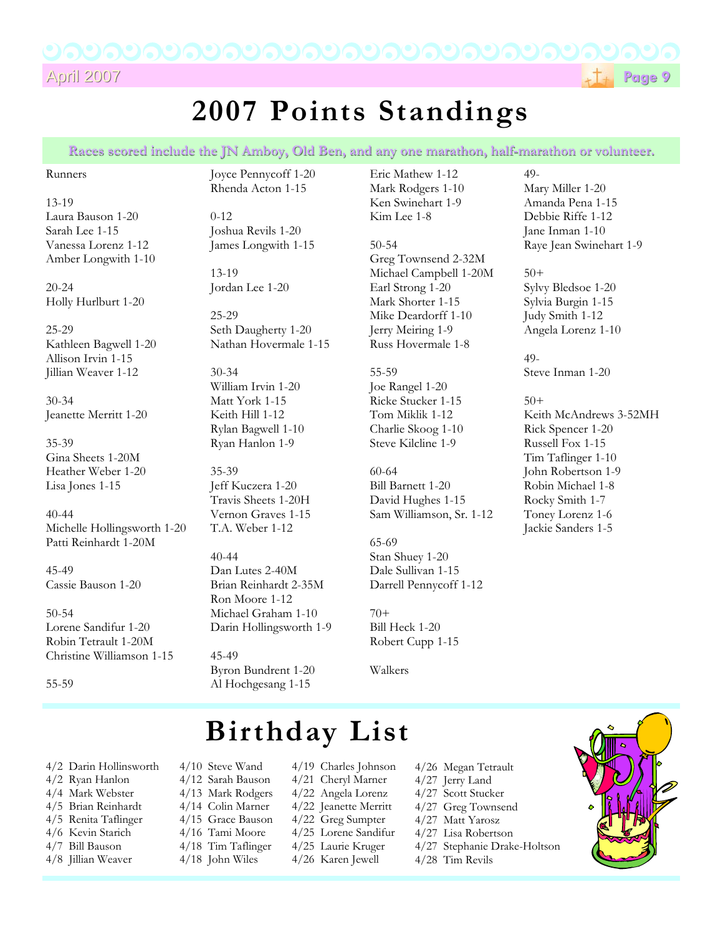

# **2007 Points Standings**

Races scored include the JN Amboy, Old Ben, and any one marathon, half-marathon or volunteer.

#### Runners

13-19 Laura Bauson 1-20 Sarah Lee 1-15 Vanessa Lorenz 1-12 Amber Longwith 1-10

20-24 Holly Hurlburt 1-20

25-29 Kathleen Bagwell 1-20 Allison Irvin 1-15 Jillian Weaver 1-12

30-34 Jeanette Merritt 1-20

35-39 Gina Sheets 1-20M Heather Weber 1-20 Lisa Jones 1-15

40-44 Michelle Hollingsworth 1-20 Patti Reinhardt 1-20M

45-49 Cassie Bauson 1-20

50-54 Lorene Sandifur 1-20 Robin Tetrault 1-20M Christine Williamson 1-15

55-59

Joyce Pennycoff 1-20 Rhenda Acton 1-15

0-12 Joshua Revils 1-20 James Longwith 1-15

13-19 Jordan Lee 1-20

25-29 Seth Daugherty 1-20 Nathan Hovermale 1-15

30-34 William Irvin 1-20 Matt York 1-15 Keith Hill 1-12 Rylan Bagwell 1-10 Ryan Hanlon 1-9

35-39 Jeff Kuczera 1-20 Travis Sheets 1-20H Vernon Graves 1-15 T.A. Weber 1-12

40-44 Dan Lutes 2-40M Brian Reinhardt 2-35M Ron Moore 1-12 Michael Graham 1-10 Darin Hollingsworth 1-9

45-49 Byron Bundrent 1-20 Al Hochgesang 1-15

Eric Mathew 1-12 Mark Rodgers 1-10 Ken Swinehart 1-9 Kim Lee 1-8

50-54 Greg Townsend 2-32M Michael Campbell 1-20M Earl Strong 1-20 Mark Shorter 1-15 Mike Deardorff 1-10 Jerry Meiring 1-9 Russ Hovermale 1-8

55-59 Joe Rangel 1-20 Ricke Stucker 1-15 Tom Miklik 1-12 Charlie Skoog 1-10 Steve Kilcline 1-9

60-64 Bill Barnett 1-20 David Hughes 1-15 Sam Williamson, Sr. 1-12

65-69 Stan Shuey 1-20 Dale Sullivan 1-15 Darrell Pennycoff 1-12

70+ Bill Heck 1-20 Robert Cupp 1-15

Walkers

# **Birthday List**

4/2 Darin Hollinsworth 4/2 Ryan Hanlon 4/4 Mark Webster 4/5 Brian Reinhardt 4/5 Renita Taflinger 4/6 Kevin Starich 4/7 Bill Bauson

4/8 Jillian Weaver

4/10 Steve Wand 4/12 Sarah Bauson 4/13 Mark Rodgers 4/14 Colin Marner 4/15 Grace Bauson 4/16 Tami Moore 4/18 Tim Taflinger 4/18 John Wiles

4/19 Charles Johnson 4/21 Cheryl Marner 4/22 Angela Lorenz 4/22 Jeanette Merritt 4/22 Greg Sumpter 4/25 Lorene Sandifur 4/25 Laurie Kruger 4/26 Karen Jewell

- 4/26 Megan Tetrault
- 4/27 Jerry Land
- 4/27 Scott Stucker
- 4/27 Greg Townsend 4/27 Matt Yarosz
- 4/27 Lisa Robertson
- 4/27 Stephanie Drake-Holtson
- 4/28 Tim Revils

### 49- Mary Miller 1-20 Amanda Pena 1-15 Debbie Riffe 1-12 Jane Inman 1-10 Raye Jean Swinehart 1-9

50+ Sylvy Bledsoe 1-20 Sylvia Burgin 1-15 Judy Smith 1-12 Angela Lorenz 1-10

49- Steve Inman 1-20

50+ Keith McAndrews 3-52MH Rick Spencer 1-20 Russell Fox 1-15 Tim Taflinger 1-10 John Robertson 1-9 Robin Michael 1-8 Rocky Smith 1-7 Toney Lorenz 1-6 Jackie Sanders 1-5

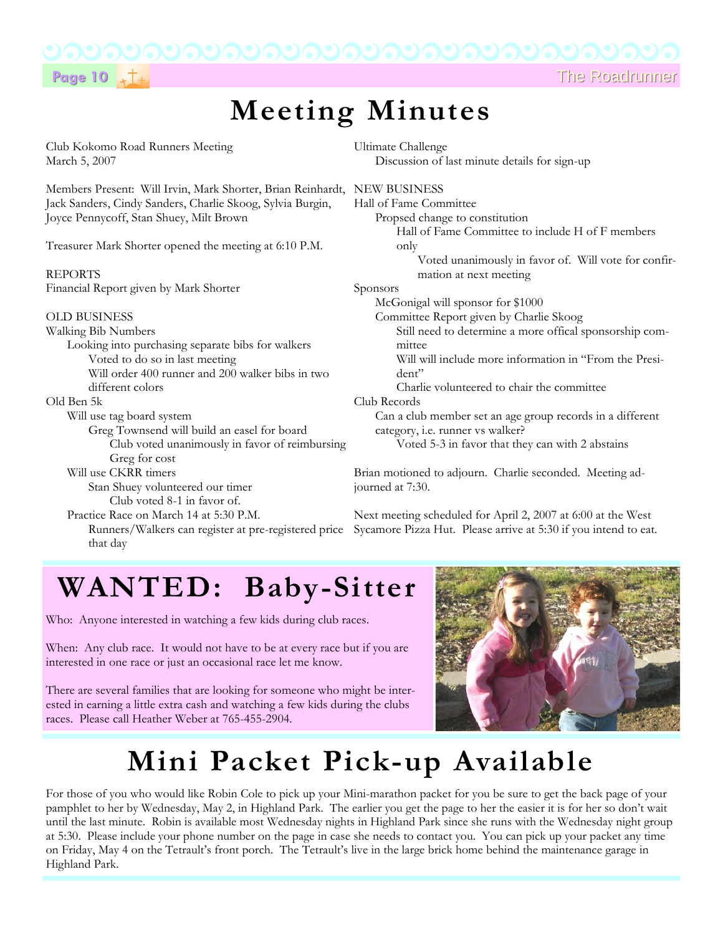

**Page 10** The Roadrunner The Roadrunner

# **Meeting Minutes**

Club Kokomo Road Runners Meeting March 5, 2007

Members Present: Will Irvin, Mark Shorter, Brian Reinhardt, NEW BUSINESS Jack Sanders, Cindy Sanders, Charlie Skoog, Sylvia Burgin, Joyce Pennycoff, Stan Shuey, Milt Brown

Treasurer Mark Shorter opened the meeting at 6:10 P.M.

## REPORTS

Financial Report given by Mark Shorter

### OLD BUSINESS

Walking Bib Numbers

that day

Looking into purchasing separate bibs for walkers Voted to do so in last meeting Will order 400 runner and 200 walker bibs in two different colors

### Old Ben 5k

Will use tag board system

- Greg Townsend will build an easel for board Club voted unanimously in favor of reimbursing Greg for cost
- Will use CKRR timers Stan Shuey volunteered our timer
- Club voted 8-1 in favor of. Practice Race on March 14 at 5:30 P.M.

Ultimate Challenge Discussion of last minute details for sign-up

Hall of Fame Committee Propsed change to constitution Hall of Fame Committee to include H of F members only Voted unanimously in favor of. Will vote for confirmation at next meeting Sponsors McGonigal will sponsor for \$1000 Committee Report given by Charlie Skoog Still need to determine a more offical sponsorship committee Will will include more information in "From the President" Charlie volunteered to chair the committee Club Records Can a club member set an age group records in a different category, i.e. runner vs walker? Voted 5-3 in favor that they can with 2 abstains

Brian motioned to adjourn. Charlie seconded. Meeting adjourned at 7:30.

Runners/Walkers can register at pre-registered price Sycamore Pizza Hut. Please arrive at 5:30 if you intend to eat. Next meeting scheduled for April 2, 2007 at 6:00 at the West

# **WANTED: Baby-Sitter**

Who: Anyone interested in watching a few kids during club races.

When: Any club race. It would not have to be at every race but if you are interested in one race or just an occasional race let me know.

There are several families that are looking for someone who might be interested in earning a little extra cash and watching a few kids during the clubs races. Please call Heather Weber at 765-455-2904.



# **Mini Packet Pick-up Available**

For those of you who would like Robin Cole to pick up your Mini-marathon packet for you be sure to get the back page of your pamphlet to her by Wednesday, May 2, in Highland Park. The earlier you get the page to her the easier it is for her so don't wait until the last minute. Robin is available most Wednesday nights in Highland Park since she runs with the Wednesday night group at 5:30. Please include your phone number on the page in case she needs to contact you. You can pick up your packet any time on Friday, May 4 on the Tetrault's front porch. The Tetrault's live in the large brick home behind the maintenance garage in Highland Park.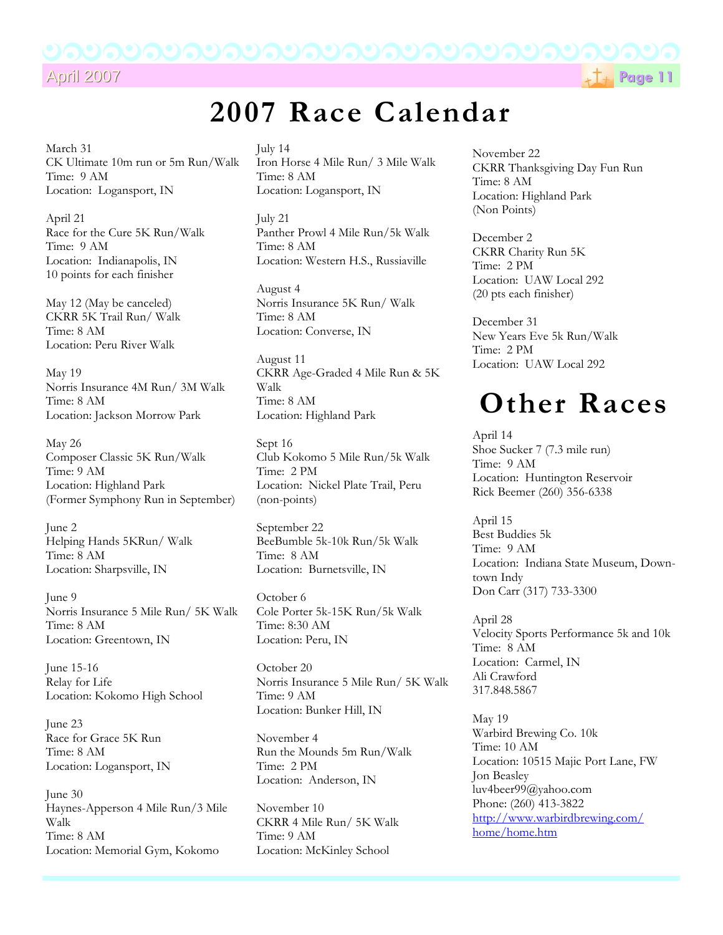## April 2007 April 2007**Page 11**

# **2007 Race Calendar**

March 31 CK Ultimate 10m run or 5m Run/Walk Time: 9 AM Location: Logansport, IN

April 21 Race for the Cure 5K Run/Walk Time: 9 AM Location: Indianapolis, IN 10 points for each finisher

May 12 (May be canceled) CKRR 5K Trail Run/ Walk Time: 8 AM Location: Peru River Walk

May 19 Norris Insurance 4M Run/ 3M Walk Time: 8 AM Location: Jackson Morrow Park

May 26 Composer Classic 5K Run/Walk Time: 9 AM Location: Highland Park (Former Symphony Run in September)

June 2 Helping Hands 5KRun/ Walk Time: 8 AM Location: Sharpsville, IN

June 9 Norris Insurance 5 Mile Run/ 5K Walk Time: 8 AM Location: Greentown, IN

June 15-16 Relay for Life Location: Kokomo High School

June 23 Race for Grace 5K Run Time: 8 AM Location: Logansport, IN

June 30 Haynes-Apperson 4 Mile Run/3 Mile Walk Time: 8 AM Location: Memorial Gym, Kokomo

July 14 Iron Horse 4 Mile Run/ 3 Mile Walk Time: 8 AM Location: Logansport, IN

July 21 Panther Prowl 4 Mile Run/5k Walk Time: 8 AM Location: Western H.S., Russiaville

August 4 Norris Insurance 5K Run/ Walk Time: 8 AM Location: Converse, IN

August 11 CKRR Age-Graded 4 Mile Run & 5K Walk Time: 8 AM Location: Highland Park

Sept 16 Club Kokomo 5 Mile Run/5k Walk Time: 2 PM Location: Nickel Plate Trail, Peru (non-points)

September 22 BeeBumble 5k-10k Run/5k Walk Time: 8 AM Location: Burnetsville, IN

October 6 Cole Porter 5k-15K Run/5k Walk Time: 8:30 AM Location: Peru, IN

October 20 Norris Insurance 5 Mile Run/ 5K Walk Time: 9 AM Location: Bunker Hill, IN

November 4 Run the Mounds 5m Run/Walk Time: 2 PM Location: Anderson, IN

November 10 CKRR 4 Mile Run/ 5K Walk Time: 9 AM Location: McKinley School

November 22 CKRR Thanksgiving Day Fun Run Time: 8 AM Location: Highland Park (Non Points)

December 2 CKRR Charity Run 5K Time: 2 PM Location: UAW Local 292 (20 pts each finisher)

December 31 New Years Eve 5k Run/Walk Time: 2 PM Location: UAW Local 292

# **Other Races**

April 14 Shoe Sucker 7 (7.3 mile run) Time: 9 AM Location: Huntington Reservoir Rick Beemer (260) 356-6338

April 15 Best Buddies 5k Time: 9 AM Location: Indiana State Museum, Downtown Indy Don Carr (317) 733-3300

April 28 Velocity Sports Performance 5k and 10k Time: 8 AM Location: Carmel, IN Ali Crawford 317.848.5867

May 19 Warbird Brewing Co. 10k Time: 10 AM Location: 10515 Majic Port Lane, FW Jon Beasley luv4beer99@yahoo.com Phone: (260) 413-3822 http://www.warbirdbrewing.com/ home/home.htm